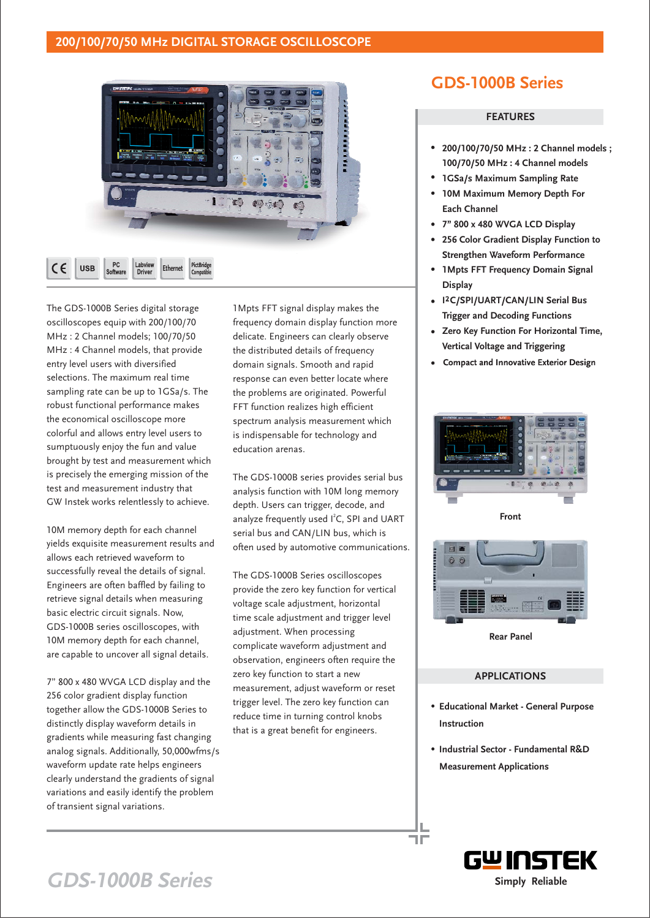### **200/100/70/50 MHz DIGITAL STORAGE OSCILLOSCOPE**



The GDS-1000B Series digital storage oscilloscopes equip with 200/100/70 MHz : 2 Channel models; 100/70/50 MHz : 4 Channel models, that provide entry level users with diversified selections. The maximum real time sampling rate can be up to 1GSa/s. The robust functional performance makes the economical oscilloscope more colorful and allows entry level users to sumptuously enjoy the fun and value brought by test and measurement which is precisely the emerging mission of the test and measurement industry that GW Instek works relentlessly to achieve.

10M memory depth for each channel yields exquisite measurement results and allows each retrieved waveform to successfully reveal the details of signal. Engineers are often baffled by failing to retrieve signal details when measuring basic electric circuit signals. Now, GDS-1000B series oscilloscopes, with 10M memory depth for each channel, are capable to uncover all signal details.

7" 800 x 480 WVGA LCD display and the 256 color gradient display function together allow the GDS-1000B Series to distinctly display waveform details in gradients while measuring fast changing analog signals. Additionally, 50,000wfms/s waveform update rate helps engineers clearly understand the gradients of signal variations and easily identify the problem of transient signal variations.

1Mpts FFT signal display makes the frequency domain display function more delicate. Engineers can clearly observe the distributed details of frequency domain signals. Smooth and rapid response can even better locate where the problems are originated. Powerful FFT function realizes high efficient spectrum analysis measurement which is indispensable for technology and education arenas.

The GDS-1000B series provides serial bus analysis function with 10M long memory depth. Users can trigger, decode, and analyze frequently used  $I^2C$ , SPI and UART serial bus and CAN/LIN bus, which is often used by automotive communications.

The GDS-1000B Series oscilloscopes provide the zero key function for vertical voltage scale adjustment, horizontal time scale adjustment and trigger level adjustment. When processing complicate waveform adjustment and observation, engineers often require the zero key function to start a new measurement, adjust waveform or reset trigger level. The zero key function can reduce time in turning control knobs that is a great benefit for engineers.

## **GDS-1000B Series**

#### **FEATURES**

- **200/100/70/50 MHz : 2 Channel models ; 100/70/50 MHz : 4 Channel models**
- **1GSa/s Maximum Sampling Rate**
- **10M Maximum Memory Depth For Each Channel**
- **7" 800 x 480 WVGA LCD Display**
- **256 Color Gradient Display Function to Strengthen Waveform Performance**
- **1Mpts FFT Frequency Domain Signal**  $\bullet$ **Display**
- **I C/SPI/UART/CAN/LIN Serial Bus Trigger and Decoding Functions**
- **Zero Key Function For Horizontal Time, Vertical Voltage and Triggering**
- Compact and Innovative Exterior Design



**Front**



**Rear Panel**

#### **APPLICATIONS**

- **Educational Market General Purpose Instruction**
- **Industrial Sector Fundamental R&D Measurement Applications**

٦F



# GDS-1000B Series **Simply Reliable**